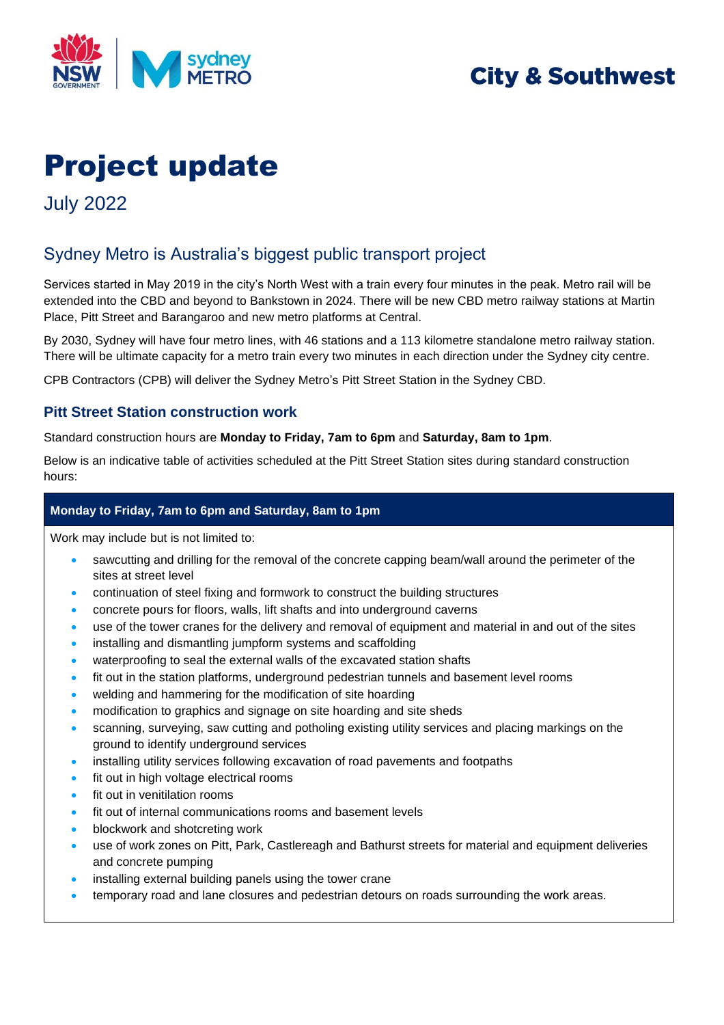

## **City & Southwest**

# Project update

July 2022

## Sydney Metro is Australia's biggest public transport project

Services started in May 2019 in the city's North West with a train every four minutes in the peak. Metro rail will be extended into the CBD and beyond to Bankstown in 2024. There will be new CBD metro railway stations at Martin Place, Pitt Street and Barangaroo and new metro platforms at Central.

By 2030, Sydney will have four metro lines, with 46 stations and a 113 kilometre standalone metro railway station. There will be ultimate capacity for a metro train every two minutes in each direction under the Sydney city centre.

CPB Contractors (CPB) will deliver the Sydney Metro's Pitt Street Station in the Sydney CBD.

#### **Pitt Street Station construction work**

Standard construction hours are **Monday to Friday, 7am to 6pm** and **Saturday, 8am to 1pm**.

Below is an indicative table of activities scheduled at the Pitt Street Station sites during standard construction hours:

#### **Monday to Friday, 7am to 6pm and Saturday, 8am to 1pm**

Work may include but is not limited to:

- sawcutting and drilling for the removal of the concrete capping beam/wall around the perimeter of the sites at street level
- continuation of steel fixing and formwork to construct the building structures
- concrete pours for floors, walls, lift shafts and into underground caverns
- use of the tower cranes for the delivery and removal of equipment and material in and out of the sites
- installing and dismantling jumpform systems and scaffolding
- waterproofing to seal the external walls of the excavated station shafts
- fit out in the station platforms, underground pedestrian tunnels and basement level rooms
- welding and hammering for the modification of site hoarding
- modification to graphics and signage on site hoarding and site sheds
- scanning, surveying, saw cutting and potholing existing utility services and placing markings on the ground to identify underground services
- installing utility services following excavation of road pavements and footpaths
- fit out in high voltage electrical rooms
- fit out in venitilation rooms
- fit out of internal communications rooms and basement levels
- blockwork and shotcreting work
- use of work zones on Pitt, Park, Castlereagh and Bathurst streets for material and equipment deliveries and concrete pumping
- installing external building panels using the tower crane
- temporary road and lane closures and pedestrian detours on roads surrounding the work areas.